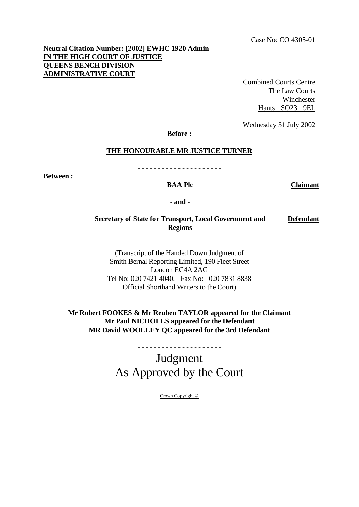# **Neutral Citation Number: [2002] EWHC 1920 Admin IN THE HIGH COURT OF JUSTICE QUEENS BENCH DIVISION ADMINISTRATIVE COURT**

Combined Courts Centre The Law Courts Winchester Hants SO23 9EL

Wednesday 31 July 2002

**Before :**

#### **THE HONOURABLE MR JUSTICE TURNER**

**Between :**

- - - - - - - - - - - - - - - - - - - - -

**BAA Plc Claimant**

**- and -**

**Secretary of State for Transport, Local Government and Regions Defendant**

- - - - - - - - - - - - - - - - - - - - -

(Transcript of the Handed Down Judgment of Smith Bernal Reporting Limited, 190 Fleet Street London EC4A 2AG Tel No: 020 7421 4040, Fax No: 020 7831 8838 Official Shorthand Writers to the Court)

- - - - - - - - - - - - - - - - - - - - -

**Mr Robert FOOKES & Mr Reuben TAYLOR appeared for the Claimant Mr Paul NICHOLLS appeared for the Defendant MR David WOOLLEY QC appeared for the 3rd Defendant** 

> Judgment As Approved by the Court

- - - - - - - - - - - - - - - - - - - - -

Crown Copyright ©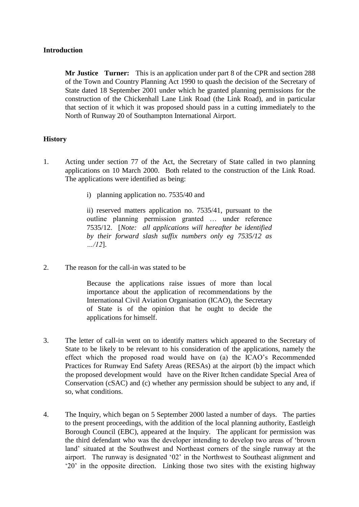## **Introduction**

**Mr Justice Turner:** This is an application under part 8 of the CPR and section 288 of the Town and Country Planning Act 1990 to quash the decision of the Secretary of State dated 18 September 2001 under which he granted planning permissions for the construction of the Chickenhall Lane Link Road (the Link Road), and in particular that section of it which it was proposed should pass in a cutting immediately to the North of Runway 20 of Southampton International Airport.

## **History**

- 1. Acting under section 77 of the Act, the Secretary of State called in two planning applications on 10 March 2000. Both related to the construction of the Link Road. The applications were identified as being:
	- i) planning application no. 7535/40 and

ii) reserved matters application no. 7535/41, pursuant to the outline planning permission granted … under reference 7535/12. [*Note: all applications will hereafter be identified by their forward slash suffix numbers only eg 7535/12 as …/12*].

2. The reason for the call-in was stated to be

Because the applications raise issues of more than local importance about the application of recommendations by the International Civil Aviation Organisation (ICAO), the Secretary of State is of the opinion that he ought to decide the applications for himself.

- 3. The letter of call-in went on to identify matters which appeared to the Secretary of State to be likely to be relevant to his consideration of the applications, namely the effect which the proposed road would have on (a) the ICAO"s Recommended Practices for Runway End Safety Areas (RESAs) at the airport (b) the impact which the proposed development would have on the River Itchen candidate Special Area of Conservation (cSAC) and (c) whether any permission should be subject to any and, if so, what conditions.
- 4. The Inquiry, which began on 5 September 2000 lasted a number of days. The parties to the present proceedings, with the addition of the local planning authority, Eastleigh Borough Council (EBC), appeared at the Inquiry. The applicant for permission was the third defendant who was the developer intending to develop two areas of "brown land" situated at the Southwest and Northeast corners of the single runway at the airport. The runway is designated "02" in the Northwest to Southeast alignment and "20" in the opposite direction. Linking those two sites with the existing highway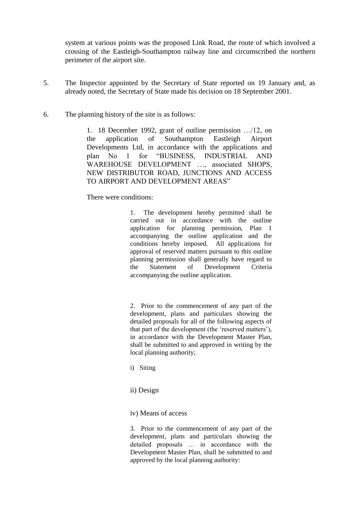system at various points was the proposed Link Road, the route of which involved a crossing of the Eastleigh-Southampton railway line and circumscribed the northern perimeter of the airport site.

- 5. The Inspector appointed by the Secretary of State reported on 19 January and, as already noted, the Secretary of State made his decision on 18 September 2001.
- 6. The planning history of the site is as follows:

1. 18 December 1992, grant of outline permission …/12, on the application of Southampton Eastleigh Airport Developments Ltd, in accordance with the applications and plan No 1 for "BUSINESS, INDUSTRIAL AND WAREHOUSE DEVELOPMENT …, associated SHOPS, NEW DISTRIBUTOR ROAD, JUNCTIONS AND ACCESS TO AIRPORT AND DEVELOPMENT AREAS"

There were conditions:

1. The development hereby permitted shall be carried out in accordance with the outline application for planning permission, Plan 1 accompanying the outline application and the conditions hereby imposed. All applications for approval of reserved matters pursuant to this outline planning permission shall generally have regard to the Statement of Development Criteria accompanying the outline application.

2. Prior to the commencement of any part of the development, plans and particulars showing the detailed proposals for all of the following aspects of that part of the development (the "reserved matters"), in accordance with the Development Master Plan, shall be submitted to and approved in writing by the local planning authority;

- i) Siting
- ii) Design
- iv) Means of access

3. Prior to the commencement of any part of the development, plans and particulars showing the detailed proposals … in accordance with the Development Master Plan, shall be submitted to and approved by the local planning authority: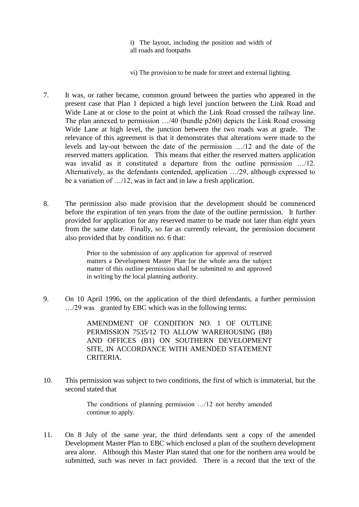i) The layout, including the position and width of all roads and footpaths

vi) The provision to be made for street and external lighting.

- 7. It was, or rather became, common ground between the parties who appeared in the present case that Plan 1 depicted a high level junction between the Link Road and Wide Lane at or close to the point at which the Link Road crossed the railway line. The plan annexed to permission …/40 (bundle p260) depicts the Link Road crossing Wide Lane at high level, the junction between the two roads was at grade. The relevance of this agreement is that it demonstrates that alterations were made to the levels and lay-out between the date of the permission …/12 and the date of the reserved matters application. This means that either the reserved matters application was invalid as it constituted a departure from the outline permission …/12. Alternatively, as the defendants contended, application …/29, although expressed to be a variation of …/12, was in fact and in law a fresh application.
- 8. The permission also made provision that the development should be commenced before the expiration of ten years from the date of the outline permission. It further provided for application for any reserved matter to be made not later than eight years from the same date. Finally, so far as currently relevant, the permission document also provided that by condition no. 6 that:

Prior to the submission of any application for approval of reserved matters a Development Master Plan for the whole area the subject matter of this outline permission shall be submitted to and approved in writing by the local planning authority.

9. On 10 April 1996, on the application of the third defendants, a further permission …/29 was granted by EBC which was in the following terms:

> AMENDMENT OF CONDITION NO. 1 OF OUTLINE PERMISSION 7535/12 TO ALLOW WAREHOUSING (B8) AND OFFICES (B1) ON SOUTHERN DEVELOPMENT SITE, IN ACCORDANCE WITH AMENDED STATEMENT CRITERIA.

10. This permission was subject to two conditions, the first of which is immaterial, but the second stated that

> The conditions of planning permission …/12 not hereby amended continue to apply.

11. On 8 July of the same year, the third defendants sent a copy of the amended Development Master Plan to EBC which enclosed a plan of the southern development area alone. Although this Master Plan stated that one for the northern area would be submitted, such was never in fact provided. There is a record that the text of the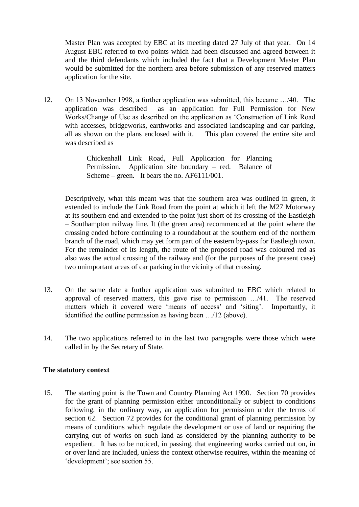Master Plan was accepted by EBC at its meeting dated 27 July of that year. On 14 August EBC referred to two points which had been discussed and agreed between it and the third defendants which included the fact that a Development Master Plan would be submitted for the northern area before submission of any reserved matters application for the site.

12. On 13 November 1998, a further application was submitted, this became …/40. The application was described as an application for Full Permission for New Works/Change of Use as described on the application as "Construction of Link Road with accesses, bridgeworks, earthworks and associated landscaping and car parking, all as shown on the plans enclosed with it. This plan covered the entire site and was described as

> Chickenhall Link Road, Full Application for Planning Permission. Application site boundary – red. Balance of Scheme – green. It bears the no. AF6111/001.

Descriptively, what this meant was that the southern area was outlined in green, it extended to include the Link Road from the point at which it left the M27 Motorway at its southern end and extended to the point just short of its crossing of the Eastleigh – Southampton railway line. It (the green area) recommenced at the point where the crossing ended before continuing to a roundabout at the southern end of the northern branch of the road, which may yet form part of the eastern by-pass for Eastleigh town. For the remainder of its length, the route of the proposed road was coloured red as also was the actual crossing of the railway and (for the purposes of the present case) two unimportant areas of car parking in the vicinity of that crossing.

- 13. On the same date a further application was submitted to EBC which related to approval of reserved matters, this gave rise to permission …/41. The reserved matters which it covered were 'means of access' and 'siting'. Importantly, it identified the outline permission as having been …/12 (above).
- 14. The two applications referred to in the last two paragraphs were those which were called in by the Secretary of State.

## **The statutory context**

15. The starting point is the Town and Country Planning Act 1990. Section 70 provides for the grant of planning permission either unconditionally or subject to conditions following, in the ordinary way, an application for permission under the terms of section 62. Section 72 provides for the conditional grant of planning permission by means of conditions which regulate the development or use of land or requiring the carrying out of works on such land as considered by the planning authority to be expedient. It has to be noticed, in passing, that engineering works carried out on, in or over land are included, unless the context otherwise requires, within the meaning of 'development'; see section 55.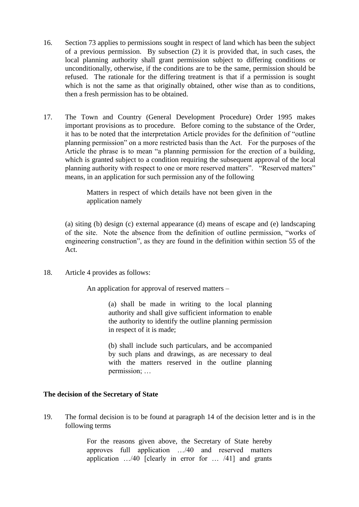- 16. Section 73 applies to permissions sought in respect of land which has been the subject of a previous permission. By subsection (2) it is provided that, in such cases, the local planning authority shall grant permission subject to differing conditions or unconditionally, otherwise, if the conditions are to be the same, permission should be refused. The rationale for the differing treatment is that if a permission is sought which is not the same as that originally obtained, other wise than as to conditions, then a fresh permission has to be obtained.
- 17. The Town and Country (General Development Procedure) Order 1995 makes important provisions as to procedure. Before coming to the substance of the Order, it has to be noted that the interpretation Article provides for the definition of "outline planning permission" on a more restricted basis than the Act. For the purposes of the Article the phrase is to mean "a planning permission for the erection of a building, which is granted subject to a condition requiring the subsequent approval of the local planning authority with respect to one or more reserved matters". "Reserved matters" means, in an application for such permission any of the following

Matters in respect of which details have not been given in the application namely

(a) siting (b) design (c) external appearance (d) means of escape and (e) landscaping of the site. Note the absence from the definition of outline permission, "works of engineering construction", as they are found in the definition within section 55 of the Act.

18. Article 4 provides as follows:

An application for approval of reserved matters –

(a) shall be made in writing to the local planning authority and shall give sufficient information to enable the authority to identify the outline planning permission in respect of it is made;

(b) shall include such particulars, and be accompanied by such plans and drawings, as are necessary to deal with the matters reserved in the outline planning permission; …

## **The decision of the Secretary of State**

19. The formal decision is to be found at paragraph 14 of the decision letter and is in the following terms

> For the reasons given above, the Secretary of State hereby approves full application …/40 and reserved matters application …/40 [clearly in error for … /41] and grants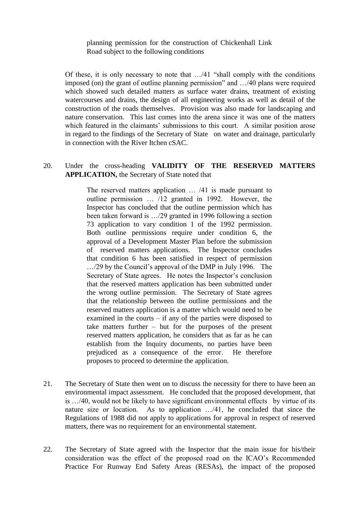planning permission for the construction of Chickenhall Link Road subject to the following conditions

Of these, it is only necessary to note that …/41 "shall comply with the conditions imposed (on) the grant of outline planning permission" and …/40 plans were required which showed such detailed matters as surface water drains, treatment of existing watercourses and drains, the design of all engineering works as well as detail of the construction of the roads themselves. Provision was also made for landscaping and nature conservation. This last comes into the arena since it was one of the matters which featured in the claimants' submissions to this court. A similar position arose in regard to the findings of the Secretary of State on water and drainage, particularly in connection with the River Itchen cSAC.

# 20. Under the cross-heading **VALIDITY OF THE RESERVED MATTERS APPLICATION,** the Secretary of State noted that

The reserved matters application … /41 is made pursuant to outline permission … /12 granted in 1992. However, the Inspector has concluded that the outline permission which has been taken forward is …/29 granted in 1996 following a section 73 application to vary condition 1 of the 1992 permission. Both outline permissions require under condition 6, the approval of a Development Master Plan before the submission of reserved matters applications. The Inspector concludes that condition 6 has been satisfied in respect of permission …/29 by the Council"s approval of the DMP in July 1996. The Secretary of State agrees. He notes the Inspector's conclusion that the reserved matters application has been submitted under the wrong outline permission. The Secretary of State agrees that the relationship between the outline permissions and the reserved matters application is a matter which would need to be examined in the courts – if any of the parties were disposed to take matters further – but for the purposes of the present reserved matters application, he considers that as far as he can establish from the Inquiry documents, no parties have been prejudiced as a consequence of the error. He therefore proposes to proceed to determine the application.

- 21. The Secretary of State then went on to discuss the necessity for there to have been an environmental impact assessment. He concluded that the proposed development, that is …/40, would not be likely to have significant environmental effects by virtue of its nature size or location. As to application …/41, he concluded that since the Regulations of 1988 did not apply to applications for approval in respect of reserved matters, there was no requirement for an environmental statement.
- 22. The Secretary of State agreed with the Inspector that the main issue for his/their consideration was the effect of the proposed road on the ICAO"s Recommended Practice For Runway End Safety Areas (RESAs), the impact of the proposed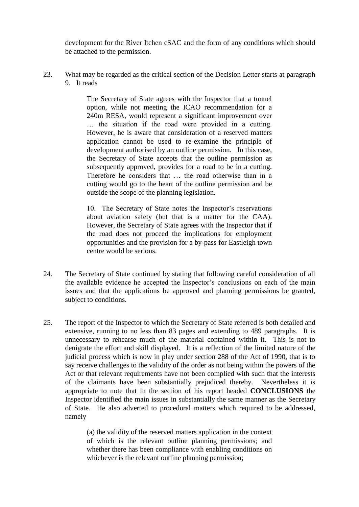development for the River Itchen cSAC and the form of any conditions which should be attached to the permission.

23. What may be regarded as the critical section of the Decision Letter starts at paragraph 9. It reads

> The Secretary of State agrees with the Inspector that a tunnel option, while not meeting the ICAO recommendation for a 240m RESA, would represent a significant improvement over … the situation if the road were provided in a cutting. However, he is aware that consideration of a reserved matters application cannot be used to re-examine the principle of development authorised by an outline permission. In this case, the Secretary of State accepts that the outline permission as subsequently approved, provides for a road to be in a cutting. Therefore he considers that … the road otherwise than in a cutting would go to the heart of the outline permission and be outside the scope of the planning legislation.

> 10. The Secretary of State notes the Inspector's reservations about aviation safety (but that is a matter for the CAA). However, the Secretary of State agrees with the Inspector that if the road does not proceed the implications for employment opportunities and the provision for a by-pass for Eastleigh town centre would be serious.

- 24. The Secretary of State continued by stating that following careful consideration of all the available evidence he accepted the Inspector"s conclusions on each of the main issues and that the applications be approved and planning permissions be granted, subject to conditions.
- 25. The report of the Inspector to which the Secretary of State referred is both detailed and extensive, running to no less than 83 pages and extending to 489 paragraphs. It is unnecessary to rehearse much of the material contained within it. This is not to denigrate the effort and skill displayed. It is a reflection of the limited nature of the judicial process which is now in play under section 288 of the Act of 1990, that is to say receive challenges to the validity of the order as not being within the powers of the Act or that relevant requirements have not been complied with such that the interests of the claimants have been substantially prejudiced thereby. Nevertheless it is appropriate to note that in the section of his report headed **CONCLUSIONS** the Inspector identified the main issues in substantially the same manner as the Secretary of State. He also adverted to procedural matters which required to be addressed, namely

(a) the validity of the reserved matters application in the context of which is the relevant outline planning permissions; and whether there has been compliance with enabling conditions on whichever is the relevant outline planning permission;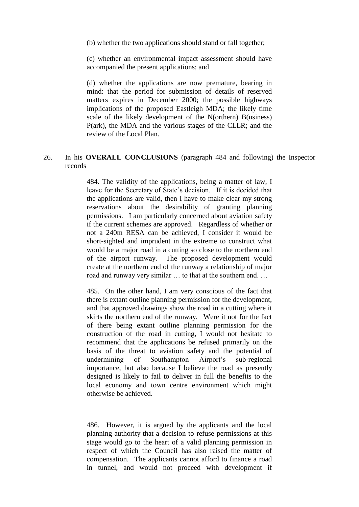(b) whether the two applications should stand or fall together;

(c) whether an environmental impact assessment should have accompanied the present applications; and

(d) whether the applications are now premature, bearing in mind: that the period for submission of details of reserved matters expires in December 2000; the possible highways implications of the proposed Eastleigh MDA; the likely time scale of the likely development of the N(orthern) B(usiness) P(ark), the MDA and the various stages of the CLLR; and the review of the Local Plan.

#### 26. In his **OVERALL CONCLUSIONS** (paragraph 484 and following) the Inspector records

484. The validity of the applications, being a matter of law, I leave for the Secretary of State's decision. If it is decided that the applications are valid, then I have to make clear my strong reservations about the desirability of granting planning permissions. I am particularly concerned about aviation safety if the current schemes are approved. Regardless of whether or not a 240m RESA can be achieved, I consider it would be short-sighted and imprudent in the extreme to construct what would be a major road in a cutting so close to the northern end of the airport runway. The proposed development would create at the northern end of the runway a relationship of major road and runway very similar … to that at the southern end. …

485. On the other hand, I am very conscious of the fact that there is extant outline planning permission for the development, and that approved drawings show the road in a cutting where it skirts the northern end of the runway. Were it not for the fact of there being extant outline planning permission for the construction of the road in cutting, I would not hesitate to recommend that the applications be refused primarily on the basis of the threat to aviation safety and the potential of undermining of Southampton Airport's sub-regional importance, but also because I believe the road as presently designed is likely to fail to deliver in full the benefits to the local economy and town centre environment which might otherwise be achieved.

486. However, it is argued by the applicants and the local planning authority that a decision to refuse permissions at this stage would go to the heart of a valid planning permission in respect of which the Council has also raised the matter of compensation. The applicants cannot afford to finance a road in tunnel, and would not proceed with development if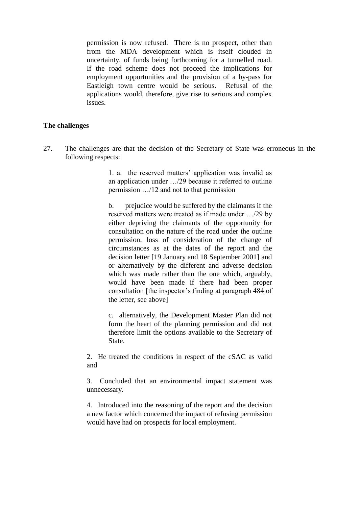permission is now refused. There is no prospect, other than from the MDA development which is itself clouded in uncertainty, of funds being forthcoming for a tunnelled road. If the road scheme does not proceed the implications for employment opportunities and the provision of a by-pass for Eastleigh town centre would be serious. Refusal of the applications would, therefore, give rise to serious and complex issues.

#### **The challenges**

27. The challenges are that the decision of the Secretary of State was erroneous in the following respects:

> 1. a. the reserved matters" application was invalid as an application under …/29 because it referred to outline permission …/12 and not to that permission

> b. prejudice would be suffered by the claimants if the reserved matters were treated as if made under …/29 by either depriving the claimants of the opportunity for consultation on the nature of the road under the outline permission, loss of consideration of the change of circumstances as at the dates of the report and the decision letter [19 January and 18 September 2001] and or alternatively by the different and adverse decision which was made rather than the one which, arguably, would have been made if there had been proper consultation [the inspector"s finding at paragraph 484 of the letter, see above]

> c. alternatively, the Development Master Plan did not form the heart of the planning permission and did not therefore limit the options available to the Secretary of State.

2. He treated the conditions in respect of the cSAC as valid and

3. Concluded that an environmental impact statement was unnecessary.

4. Introduced into the reasoning of the report and the decision a new factor which concerned the impact of refusing permission would have had on prospects for local employment.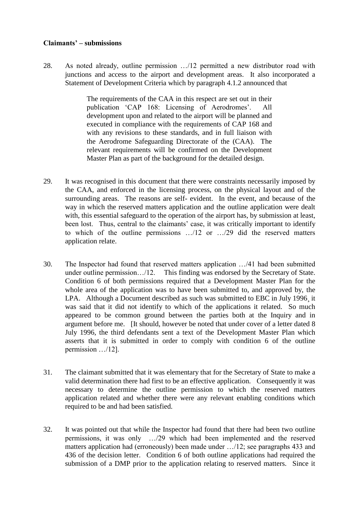## **Claimants' – submissions**

28. As noted already, outline permission …/12 permitted a new distributor road with junctions and access to the airport and development areas. It also incorporated a Statement of Development Criteria which by paragraph 4.1.2 announced that

> The requirements of the CAA in this respect are set out in their publication 'CAP 168: Licensing of Aerodromes'. All development upon and related to the airport will be planned and executed in compliance with the requirements of CAP 168 and with any revisions to these standards, and in full liaison with the Aerodrome Safeguarding Directorate of the (CAA). The relevant requirements will be confirmed on the Development Master Plan as part of the background for the detailed design.

- 29. It was recognised in this document that there were constraints necessarily imposed by the CAA, and enforced in the licensing process, on the physical layout and of the surrounding areas. The reasons are self- evident. In the event, and because of the way in which the reserved matters application and the outline application were dealt with, this essential safeguard to the operation of the airport has, by submission at least, been lost. Thus, central to the claimants' case, it was critically important to identify to which of the outline permissions …/12 or …/29 did the reserved matters application relate.
- 30. The Inspector had found that reserved matters application …/41 had been submitted under outline permission.../12. This finding was endorsed by the Secretary of State. Condition 6 of both permissions required that a Development Master Plan for the whole area of the application was to have been submitted to, and approved by, the LPA. Although a Document described as such was submitted to EBC in July 1996¸ it was said that it did not identify to which of the applications it related. So much appeared to be common ground between the parties both at the Inquiry and in argument before me. [It should, however be noted that under cover of a letter dated 8 July 1996, the third defendants sent a text of the Development Master Plan which asserts that it is submitted in order to comply with condition 6 of the outline permission …/12].
- 31. The claimant submitted that it was elementary that for the Secretary of State to make a valid determination there had first to be an effective application. Consequently it was necessary to determine the outline permission to which the reserved matters application related and whether there were any relevant enabling conditions which required to be and had been satisfied.
- 32. It was pointed out that while the Inspector had found that there had been two outline permissions, it was only …/29 which had been implemented and the reserved matters application had (erroneously) been made under …/12; see paragraphs 433 and 436 of the decision letter. Condition 6 of both outline applications had required the submission of a DMP prior to the application relating to reserved matters. Since it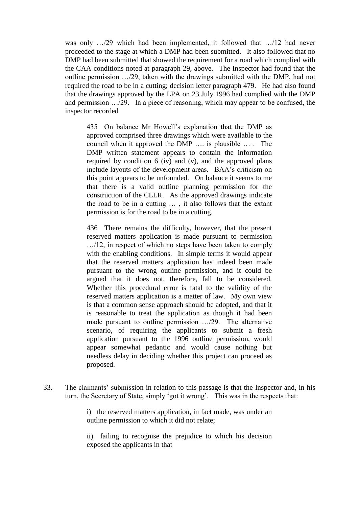was only .../29 which had been implemented, it followed that .../12 had never proceeded to the stage at which a DMP had been submitted. It also followed that no DMP had been submitted that showed the requirement for a road which complied with the CAA conditions noted at paragraph 29, above. The Inspector had found that the outline permission …/29, taken with the drawings submitted with the DMP, had not required the road to be in a cutting; decision letter paragraph 479. He had also found that the drawings approved by the LPA on 23 July 1996 had complied with the DMP and permission …/29. In a piece of reasoning, which may appear to be confused, the inspector recorded

435 On balance Mr Howell"s explanation that the DMP as approved comprised three drawings which were available to the council when it approved the DMP …. is plausible … . The DMP written statement appears to contain the information required by condition 6 (iv) and (v), and the approved plans include layouts of the development areas. BAA"s criticism on this point appears to be unfounded. On balance it seems to me that there is a valid outline planning permission for the construction of the CLLR. As the approved drawings indicate the road to be in a cutting … , it also follows that the extant permission is for the road to be in a cutting.

436 There remains the difficulty, however, that the present reserved matters application is made pursuant to permission …/12, in respect of which no steps have been taken to comply with the enabling conditions. In simple terms it would appear that the reserved matters application has indeed been made pursuant to the wrong outline permission, and it could be argued that it does not, therefore, fall to be considered. Whether this procedural error is fatal to the validity of the reserved matters application is a matter of law. My own view is that a common sense approach should be adopted, and that it is reasonable to treat the application as though it had been made pursuant to outline permission …/29. The alternative scenario, of requiring the applicants to submit a fresh application pursuant to the 1996 outline permission, would appear somewhat pedantic and would cause nothing but needless delay in deciding whether this project can proceed as proposed.

33. The claimants" submission in relation to this passage is that the Inspector and, in his turn, the Secretary of State, simply "got it wrong". This was in the respects that:

> i) the reserved matters application, in fact made, was under an outline permission to which it did not relate;

> ii) failing to recognise the prejudice to which his decision exposed the applicants in that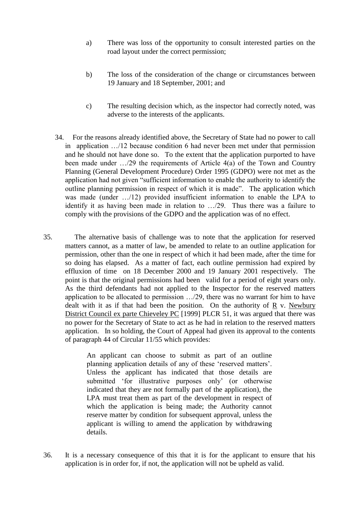- a) There was loss of the opportunity to consult interested parties on the road layout under the correct permission;
- b) The loss of the consideration of the change or circumstances between 19 January and 18 September, 2001; and
- c) The resulting decision which, as the inspector had correctly noted, was adverse to the interests of the applicants.
- 34. For the reasons already identified above, the Secretary of State had no power to call in application …/12 because condition 6 had never been met under that permission and he should not have done so. To the extent that the application purported to have been made under …/29 the requirements of Article 4(a) of the Town and Country Planning (General Development Procedure) Order 1995 (GDPO) were not met as the application had not given "sufficient information to enable the authority to identify the outline planning permission in respect of which it is made". The application which was made (under .../12) provided insufficient information to enable the LPA to identify it as having been made in relation to …/29. Thus there was a failure to comply with the provisions of the GDPO and the application was of no effect.
- 35. The alternative basis of challenge was to note that the application for reserved matters cannot, as a matter of law, be amended to relate to an outline application for permission, other than the one in respect of which it had been made, after the time for so doing has elapsed. As a matter of fact, each outline permission had expired by effluxion of time on 18 December 2000 and 19 January 2001 respectively. The point is that the original permissions had been valid for a period of eight years only. As the third defendants had not applied to the Inspector for the reserved matters application to be allocated to permission …/29, there was no warrant for him to have dealt with it as if that had been the position. On the authority of  $\overline{R}$  v. Newbury District Council ex parte Chieveley PC [1999] PLCR 51, it was argued that there was no power for the Secretary of State to act as he had in relation to the reserved matters application. In so holding, the Court of Appeal had given its approval to the contents of paragraph 44 of Circular 11/55 which provides:

An applicant can choose to submit as part of an outline planning application details of any of these "reserved matters". Unless the applicant has indicated that those details are submitted 'for illustrative purposes only' (or otherwise indicated that they are not formally part of the application), the LPA must treat them as part of the development in respect of which the application is being made; the Authority cannot reserve matter by condition for subsequent approval, unless the applicant is willing to amend the application by withdrawing details.

36. It is a necessary consequence of this that it is for the applicant to ensure that his application is in order for, if not, the application will not be upheld as valid.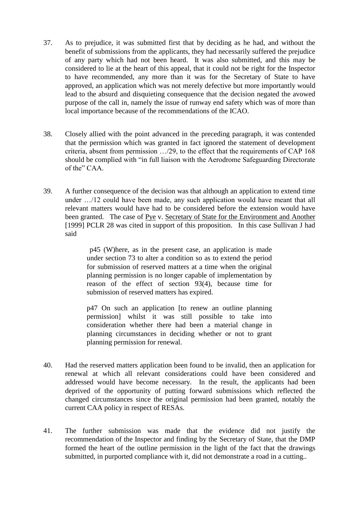- 37. As to prejudice, it was submitted first that by deciding as he had, and without the benefit of submissions from the applicants, they had necessarily suffered the prejudice of any party which had not been heard. It was also submitted, and this may be considered to lie at the heart of this appeal, that it could not be right for the Inspector to have recommended, any more than it was for the Secretary of State to have approved, an application which was not merely defective but more importantly would lead to the absurd and disquieting consequence that the decision negated the avowed purpose of the call in, namely the issue of runway end safety which was of more than local importance because of the recommendations of the ICAO.
- 38. Closely allied with the point advanced in the preceding paragraph, it was contended that the permission which was granted in fact ignored the statement of development criteria, absent from permission …/29, to the effect that the requirements of CAP 168 should be complied with "in full liaison with the Aerodrome Safeguarding Directorate of the" CAA.
- 39. A further consequence of the decision was that although an application to extend time under …/12 could have been made, any such application would have meant that all relevant matters would have had to be considered before the extension would have been granted. The case of Pye v. Secretary of State for the Environment and Another [1999] PCLR 28 was cited in support of this proposition. In this case Sullivan J had said

p45 (W)here, as in the present case, an application is made under section 73 to alter a condition so as to extend the period for submission of reserved matters at a time when the original planning permission is no longer capable of implementation by reason of the effect of section 93(4), because time for submission of reserved matters has expired.

p47 On such an application [to renew an outline planning permission] whilst it was still possible to take into consideration whether there had been a material change in planning circumstances in deciding whether or not to grant planning permission for renewal.

- 40. Had the reserved matters application been found to be invalid, then an application for renewal at which all relevant considerations could have been considered and addressed would have become necessary. In the result, the applicants had been deprived of the opportunity of putting forward submissions which reflected the changed circumstances since the original permission had been granted, notably the current CAA policy in respect of RESAs.
- 41. The further submission was made that the evidence did not justify the recommendation of the Inspector and finding by the Secretary of State, that the DMP formed the heart of the outline permission in the light of the fact that the drawings submitted, in purported compliance with it, did not demonstrate a road in a cutting..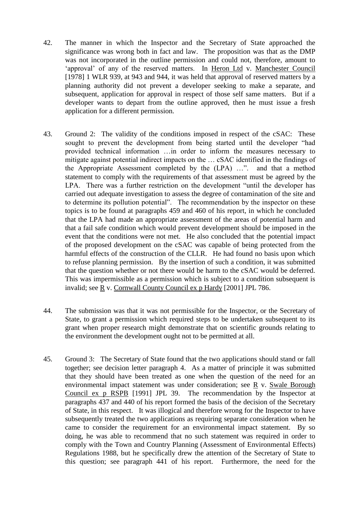- 42. The manner in which the Inspector and the Secretary of State approached the significance was wrong both in fact and law. The proposition was that as the DMP was not incorporated in the outline permission and could not, therefore, amount to 'approval' of any of the reserved matters. In Heron Ltd v. Manchester Council [1978] 1 WLR 939, at 943 and 944, it was held that approval of reserved matters by a planning authority did not prevent a developer seeking to make a separate, and subsequent, application for approval in respect of those self same matters. But if a developer wants to depart from the outline approved, then he must issue a fresh application for a different permission.
- 43. Ground 2: The validity of the conditions imposed in respect of the cSAC: These sought to prevent the development from being started until the developer "had provided technical information …in order to inform the measures necessary to mitigate against potential indirect impacts on the … cSAC identified in the findings of the Appropriate Assessment completed by the (LPA) …". and that a method statement to comply with the requirements of that assessment must be agreed by the LPA. There was a further restriction on the development "until the developer has carried out adequate investigation to assess the degree of contamination of the site and to determine its pollution potential". The recommendation by the inspector on these topics is to be found at paragraphs 459 and 460 of his report, in which he concluded that the LPA had made an appropriate assessment of the areas of potential harm and that a fail safe condition which would prevent development should be imposed in the event that the conditions were not met. He also concluded that the potential impact of the proposed development on the cSAC was capable of being protected from the harmful effects of the construction of the CLLR. He had found no basis upon which to refuse planning permission. By the insertion of such a condition, it was submitted that the question whether or not there would be harm to the cSAC would be deferred. This was impermissible as a permission which is subject to a condition subsequent is invalid; see R v. Cornwall County Council ex p Hardy [2001] JPL 786.
- 44. The submission was that it was not permissible for the Inspector, or the Secretary of State, to grant a permission which required steps to be undertaken subsequent to its grant when proper research might demonstrate that on scientific grounds relating to the environment the development ought not to be permitted at all.
- 45. Ground 3: The Secretary of State found that the two applications should stand or fall together; see decision letter paragraph 4. As a matter of principle it was submitted that they should have been treated as one when the question of the need for an environmental impact statement was under consideration; see R v. Swale Borough Council ex p RSPB [1991] JPL 39. The recommendation by the Inspector at paragraphs 437 and 440 of his report formed the basis of the decision of the Secretary of State, in this respect. It was illogical and therefore wrong for the Inspector to have subsequently treated the two applications as requiring separate consideration when he came to consider the requirement for an environmental impact statement. By so doing, he was able to recommend that no such statement was required in order to comply with the Town and Country Planning (Assessment of Environmental Effects) Regulations 1988, but he specifically drew the attention of the Secretary of State to this question; see paragraph 441 of his report. Furthermore, the need for the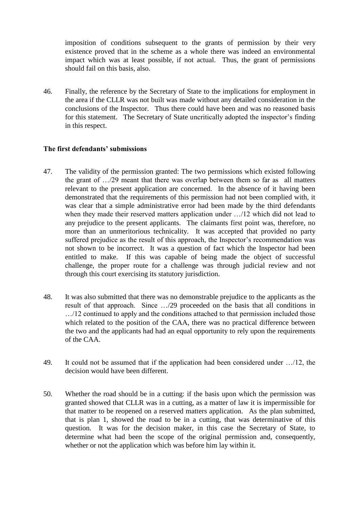imposition of conditions subsequent to the grants of permission by their very existence proved that in the scheme as a whole there was indeed an environmental impact which was at least possible, if not actual. Thus, the grant of permissions should fail on this basis, also.

46. Finally, the reference by the Secretary of State to the implications for employment in the area if the CLLR was not built was made without any detailed consideration in the conclusions of the Inspector. Thus there could have been and was no reasoned basis for this statement. The Secretary of State uncritically adopted the inspector's finding in this respect.

## **The first defendants' submissions**

- 47. The validity of the permission granted: The two permissions which existed following the grant of …/29 meant that there was overlap between them so far as all matters relevant to the present application are concerned. In the absence of it having been demonstrated that the requirements of this permission had not been complied with, it was clear that a simple administrative error had been made by the third defendants when they made their reserved matters application under …/12 which did not lead to any prejudice to the present applicants. The claimants first point was, therefore, no more than an unmeritorious technicality. It was accepted that provided no party suffered prejudice as the result of this approach, the Inspector's recommendation was not shown to be incorrect. It was a question of fact which the Inspector had been entitled to make. If this was capable of being made the object of successful challenge, the proper route for a challenge was through judicial review and not through this court exercising its statutory jurisdiction.
- 48. It was also submitted that there was no demonstrable prejudice to the applicants as the result of that approach. Since …/29 proceeded on the basis that all conditions in …/12 continued to apply and the conditions attached to that permission included those which related to the position of the CAA, there was no practical difference between the two and the applicants had had an equal opportunity to rely upon the requirements of the CAA.
- 49. It could not be assumed that if the application had been considered under …/12, the decision would have been different.
- 50. Whether the road should be in a cutting: if the basis upon which the permission was granted showed that CLLR was in a cutting, as a matter of law it is impermissible for that matter to be reopened on a reserved matters application. As the plan submitted, that is plan 1, showed the road to be in a cutting, that was determinative of this question. It was for the decision maker, in this case the Secretary of State, to determine what had been the scope of the original permission and, consequently, whether or not the application which was before him lay within it.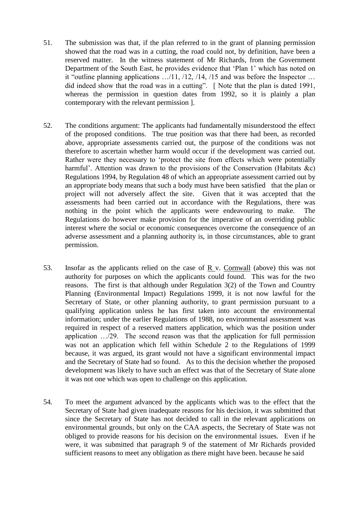- 51. The submission was that, if the plan referred to in the grant of planning permission showed that the road was in a cutting, the road could not, by definition, have been a reserved matter. In the witness statement of Mr Richards, from the Government Department of the South East, he provides evidence that "Plan 1" which has noted on it "outline planning applications …/11, /12, /14, /15 and was before the Inspector … did indeed show that the road was in a cutting". [ Note that the plan is dated 1991, whereas the permission in question dates from 1992, so it is plainly a plan contemporary with the relevant permission ].
- 52. The conditions argument: The applicants had fundamentally misunderstood the effect of the proposed conditions. The true position was that there had been, as recorded above, appropriate assessments carried out, the purpose of the conditions was not therefore to ascertain whether harm would occur if the development was carried out. Rather were they necessary to "protect the site from effects which were potentially harmful'. Attention was drawn to the provisions of the Conservation (Habitats  $\&c$ ) Regulations 1994, by Regulation 48 of which an appropriate assessment carried out by an appropriate body means that such a body must have been satisfied that the plan or project will not adversely affect the site. Given that it was accepted that the assessments had been carried out in accordance with the Regulations, there was nothing in the point which the applicants were endeavouring to make. The Regulations do however make provision for the imperative of an overriding public interest where the social or economic consequences overcome the consequence of an adverse assessment and a planning authority is, in those circumstances, able to grant permission.
- 53. Insofar as the applicants relied on the case of R v. Cornwall (above) this was not authority for purposes on which the applicants could found. This was for the two reasons. The first is that although under Regulation 3(2) of the Town and Country Planning (Environmental Impact) Regulations 1999, it is not now lawful for the Secretary of State, or other planning authority, to grant permission pursuant to a qualifying application unless he has first taken into account the environmental information; under the earlier Regulations of 1988, no environmental assessment was required in respect of a reserved matters application, which was the position under application …/29. The second reason was that the application for full permission was not an application which fell within Schedule 2 to the Regulations of 1999 because, it was argued, its grant would not have a significant environmental impact and the Secretary of State had so found. As to this the decision whether the proposed development was likely to have such an effect was that of the Secretary of State alone it was not one which was open to challenge on this application.
- 54. To meet the argument advanced by the applicants which was to the effect that the Secretary of State had given inadequate reasons for his decision, it was submitted that since the Secretary of State has not decided to call in the relevant applications on environmental grounds, but only on the CAA aspects, the Secretary of State was not obliged to provide reasons for his decision on the environmental issues. Even if he were, it was submitted that paragraph 9 of the statement of Mr Richards provided sufficient reasons to meet any obligation as there might have been. because he said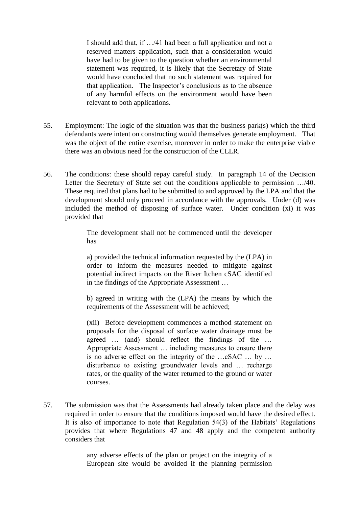I should add that, if …/41 had been a full application and not a reserved matters application, such that a consideration would have had to be given to the question whether an environmental statement was required, it is likely that the Secretary of State would have concluded that no such statement was required for that application. The Inspector"s conclusions as to the absence of any harmful effects on the environment would have been relevant to both applications.

- 55. Employment: The logic of the situation was that the business park(s) which the third defendants were intent on constructing would themselves generate employment. That was the object of the entire exercise, moreover in order to make the enterprise viable there was an obvious need for the construction of the CLLR.
- 56. The conditions: these should repay careful study. In paragraph 14 of the Decision Letter the Secretary of State set out the conditions applicable to permission …/40. These required that plans had to be submitted to and approved by the LPA and that the development should only proceed in accordance with the approvals. Under (d) was included the method of disposing of surface water. Under condition (xi) it was provided that

The development shall not be commenced until the developer has

a) provided the technical information requested by the (LPA) in order to inform the measures needed to mitigate against potential indirect impacts on the River Itchen cSAC identified in the findings of the Appropriate Assessment …

b) agreed in writing with the (LPA) the means by which the requirements of the Assessment will be achieved;

(xii) Before development commences a method statement on proposals for the disposal of surface water drainage must be agreed … (and) should reflect the findings of the … Appropriate Assessment … including measures to ensure there is no adverse effect on the integrity of the …cSAC … by … disturbance to existing groundwater levels and … recharge rates, or the quality of the water returned to the ground or water courses.

57. The submission was that the Assessments had already taken place and the delay was required in order to ensure that the conditions imposed would have the desired effect. It is also of importance to note that Regulation 54(3) of the Habitats" Regulations provides that where Regulations 47 and 48 apply and the competent authority considers that

> any adverse effects of the plan or project on the integrity of a European site would be avoided if the planning permission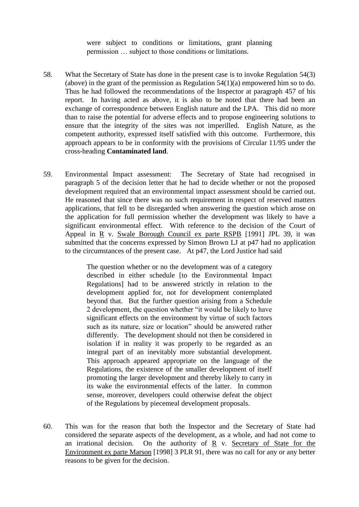were subject to conditions or limitations, grant planning permission … subject to those conditions or limitations.

- 58. What the Secretary of State has done in the present case is to invoke Regulation 54(3) (above) in the grant of the permission as Regulation  $54(1)(a)$  empowered him so to do. Thus he had followed the recommendations of the Inspector at paragraph 457 of his report. In having acted as above, it is also to be noted that there had been an exchange of correspondence between English nature and the LPA. This did no more than to raise the potential for adverse effects and to propose engineering solutions to ensure that the integrity of the sites was not imperilled. English Nature, as the competent authority, expressed itself satisfied with this outcome. Furthermore, this approach appears to be in conformity with the provisions of Circular 11/95 under the cross-heading **Contaminated land**.
- 59. Environmental Impact assessment: The Secretary of State had recognised in paragraph 5 of the decision letter that he had to decide whether or not the proposed development required that an environmental impact assessment should be carried out. He reasoned that since there was no such requirement in respect of reserved matters applications, that fell to be disregarded when answering the question which arose on the application for full permission whether the development was likely to have a significant environmental effect. With reference to the decision of the Court of Appeal in R v. Swale Borough Council ex parte RSPB [1991] JPL 39, it was submitted that the concerns expressed by Simon Brown LJ at p47 had no application to the circumstances of the present case. At p47, the Lord Justice had said

The question whether or no the development was of a category described in either schedule [to the Environmental Impact Regulations] had to be answered strictly in relation to the development applied for, not for development contemplated beyond that. But the further question arising from a Schedule 2 development, the question whether "it would be likely to have significant effects on the environment by virtue of such factors such as its nature, size or location" should be answered rather differently. The development should not then be considered in isolation if in reality it was properly to be regarded as an integral part of an inevitably more substantial development. This approach appeared appropriate on the language of the Regulations, the existence of the smaller development of itself promoting the larger development and thereby likely to carry in its wake the environmental effects of the latter. In common sense, moreover, developers could otherwise defeat the object of the Regulations by piecemeal development proposals.

60. This was for the reason that both the Inspector and the Secretary of State had considered the separate aspects of the development, as a whole, and had not come to an irrational decision. On the authority of R v. Secretary of State for the Environment ex parte Marson [1998] 3 PLR 91, there was no call for any or any better reasons to be given for the decision.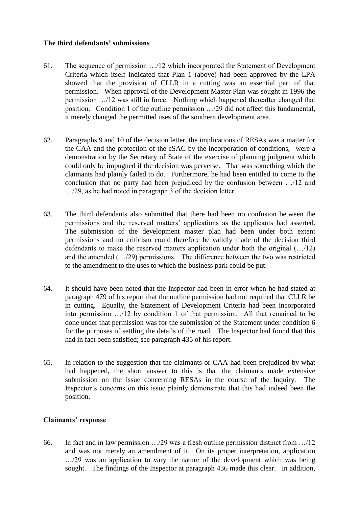## **The third defendants' submissions**

- 61. The sequence of permission …/12 which incorporated the Statement of Development Criteria which itself indicated that Plan 1 (above) had been approved by the LPA showed that the provision of CLLR in a cutting was an essential part of that permission. When approval of the Development Master Plan was sought in 1996 the permission …/12 was still in force. Nothing which happened thereafter changed that position. Condition 1 of the outline permission …/29 did not affect this fundamental, it merely changed the permitted uses of the southern development area.
- 62. Paragraphs 9 and 10 of the decision letter, the implications of RESAs was a matter for the CAA and the protection of the cSAC by the incorporation of conditions, were a demonstration by the Secretary of State of the exercise of planning judgment which could only be impugned if the decision was perverse. That was something which the claimants had plainly failed to do. Furthermore, he had been entitled to come to the conclusion that no party had been prejudiced by the confusion between …/12 and …/29, as he had noted in paragraph 3 of the decision letter.
- 63. The third defendants also submitted that there had been no confusion between the permissions and the reserved matters" applications as the applicants had asserted. The submission of the development master plan had been under both extent permissions and no criticism could therefore be validly made of the decision third defendants to make the reserved matters application under both the original (…/12) and the amended (…/29) permissions. The difference between the two was restricted to the amendment to the uses to which the business park could be put.
- 64. It should have been noted that the Inspector had been in error when he had stated at paragraph 479 of his report that the outline permission had not required that CLLR be in cutting. Equally, the Statement of Development Criteria had been incorporated into permission …/12 by condition 1 of that permission. All that remained to be done under that permission was for the submission of the Statement under condition 6 for the purposes of settling the details of the road. The Inspector had found that this had in fact been satisfied; see paragraph 435 of his report.
- 65. In relation to the suggestion that the claimants or CAA had been prejudiced by what had happened, the short answer to this is that the claimants made extensive submission on the issue concerning RESAs in the course of the Inquiry. The Inspector"s concerns on this issue plainly demonstrate that this had indeed been the position.

# **Claimants' response**

66. In fact and in law permission …/29 was a fresh outline permission distinct from …/12 and was not merely an amendment of it. On its proper interpretation, application …/29 was an application to vary the nature of the development which was being sought. The findings of the Inspector at paragraph 436 made this clear. In addition,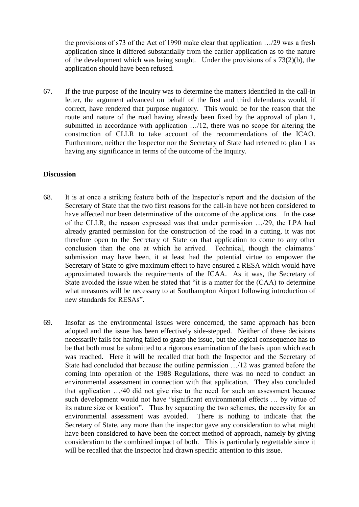the provisions of s73 of the Act of 1990 make clear that application …/29 was a fresh application since it differed substantially from the earlier application as to the nature of the development which was being sought. Under the provisions of s 73(2)(b), the application should have been refused.

67. If the true purpose of the Inquiry was to determine the matters identified in the call-in letter, the argument advanced on behalf of the first and third defendants would, if correct, have rendered that purpose nugatory. This would be for the reason that the route and nature of the road having already been fixed by the approval of plan 1, submitted in accordance with application …/12, there was no scope for altering the construction of CLLR to take account of the recommendations of the ICAO. Furthermore, neither the Inspector nor the Secretary of State had referred to plan 1 as having any significance in terms of the outcome of the Inquiry.

#### **Discussion**

- 68. It is at once a striking feature both of the Inspector"s report and the decision of the Secretary of State that the two first reasons for the call-in have not been considered to have affected nor been determinative of the outcome of the applications. In the case of the CLLR, the reason expressed was that under permission …/29, the LPA had already granted permission for the construction of the road in a cutting, it was not therefore open to the Secretary of State on that application to come to any other conclusion than the one at which he arrived. Technical, though the claimants' submission may have been, it at least had the potential virtue to empower the Secretary of State to give maximum effect to have ensured a RESA which would have approximated towards the requirements of the ICAA. As it was, the Secretary of State avoided the issue when he stated that "it is a matter for the (CAA) to determine what measures will be necessary to at Southampton Airport following introduction of new standards for RESAs".
- 69. Insofar as the environmental issues were concerned, the same approach has been adopted and the issue has been effectively side-stepped. Neither of these decisions necessarily fails for having failed to grasp the issue, but the logical consequence has to be that both must be submitted to a rigorous examination of the basis upon which each was reached. Here it will be recalled that both the Inspector and the Secretary of State had concluded that because the outline permission …/12 was granted before the coming into operation of the 1988 Regulations, there was no need to conduct an environmental assessment in connection with that application. They also concluded that application …/40 did not give rise to the need for such an assessment because such development would not have "significant environmental effects … by virtue of its nature size or location". Thus by separating the two schemes, the necessity for an environmental assessment was avoided. There is nothing to indicate that the Secretary of State, any more than the inspector gave any consideration to what might have been considered to have been the correct method of approach, namely by giving consideration to the combined impact of both. This is particularly regrettable since it will be recalled that the Inspector had drawn specific attention to this issue.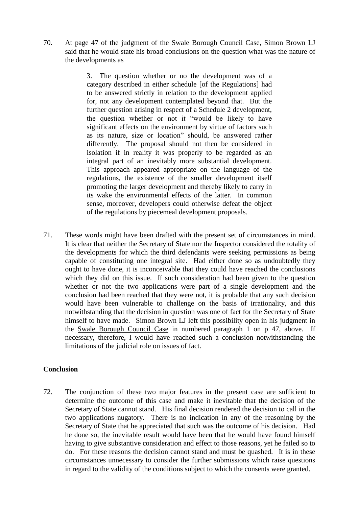70. At page 47 of the judgment of the Swale Borough Council Case, Simon Brown LJ said that he would state his broad conclusions on the question what was the nature of the developments as

> 3. The question whether or no the development was of a category described in either schedule [of the Regulations] had to be answered strictly in relation to the development applied for, not any development contemplated beyond that. But the further question arising in respect of a Schedule 2 development. the question whether or not it "would be likely to have significant effects on the environment by virtue of factors such as its nature, size or location" should, be answered rather differently. The proposal should not then be considered in isolation if in reality it was properly to be regarded as an integral part of an inevitably more substantial development. This approach appeared appropriate on the language of the regulations, the existence of the smaller development itself promoting the larger development and thereby likely to carry in its wake the environmental effects of the latter. In common sense, moreover, developers could otherwise defeat the object of the regulations by piecemeal development proposals.

71. These words might have been drafted with the present set of circumstances in mind. It is clear that neither the Secretary of State nor the Inspector considered the totality of the developments for which the third defendants were seeking permissions as being capable of constituting one integral site. Had either done so as undoubtedly they ought to have done, it is inconceivable that they could have reached the conclusions which they did on this issue. If such consideration had been given to the question whether or not the two applications were part of a single development and the conclusion had been reached that they were not, it is probable that any such decision would have been vulnerable to challenge on the basis of irrationality, and this notwithstanding that the decision in question was one of fact for the Secretary of State himself to have made. Simon Brown LJ left this possibility open in his judgment in the Swale Borough Council Case in numbered paragraph 1 on p 47, above. If necessary, therefore, I would have reached such a conclusion notwithstanding the limitations of the judicial role on issues of fact.

## **Conclusion**

72. The conjunction of these two major features in the present case are sufficient to determine the outcome of this case and make it inevitable that the decision of the Secretary of State cannot stand. His final decision rendered the decision to call in the two applications nugatory. There is no indication in any of the reasoning by the Secretary of State that he appreciated that such was the outcome of his decision. Had he done so, the inevitable result would have been that he would have found himself having to give substantive consideration and effect to those reasons, yet he failed so to do. For these reasons the decision cannot stand and must be quashed. It is in these circumstances unnecessary to consider the further submissions which raise questions in regard to the validity of the conditions subject to which the consents were granted.